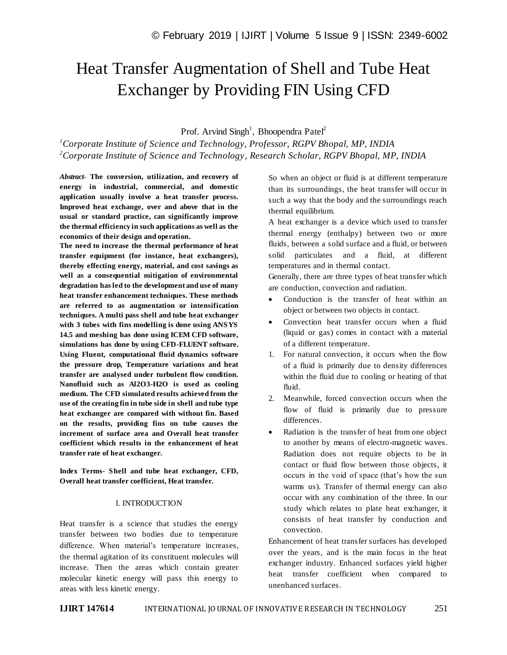# Heat Transfer Augmentation of Shell and Tube Heat Exchanger by Providing FIN Using CFD

Prof. Arvind Singh<sup>1</sup>, Bhoopendra Patel<sup>2</sup>

*<sup>1</sup>Corporate Institute of Science and Technology, Professor, RGPV Bhopal, MP, INDIA <sup>2</sup>Corporate Institute of Science and Technology, Research Scholar, RGPV Bhopal, MP, INDIA*

*Abstract*- **The conversion, utilization, and recovery of energy in industrial, commercial, and domestic application usually involve a heat transfer process. Improved heat exchange, over and above that in the usual or standard practice, can significantly improve the thermal efficiency in such applications as well as the economics of their design and operation.**

**The need to increase the thermal performance of heat transfer equipment (for instance, heat exchangers), thereby effecting energy, material, and cost savings as well as a consequential mitigation of environmental degradation has led to the development and use of many heat transfer enhancement techniques. These methods are referred to as augmentation or intensification techniques. A multi pass shell and tube heat exchanger with 3 tubes with fins modelling is done using ANSYS 14.5 and meshing has done using ICEM CFD software, simulations has done by using CFD-FLUENT software. Using Fluent, computational fluid dynamics software the pressure drop, Temperature variations and heat transfer are analysed under turbulent flow condition. Nanofluid such as Al2O3-H2O is used as cooling medium. The CFD simulated results achieved from the use of the creating fin in tube side in shell and tube type heat exchanger are compared with without fin. Based on the results, providing fins on tube causes the increment of surface area and Overall heat transfer coefficient which results in the enhancement of heat transfer rate of heat exchanger.**

**Index Terms- Shell and tube heat exchanger, CFD, Overall heat transfer coefficient, Heat transfer.**

### I. INTRODUCTION

Heat transfer is a science that studies the energy transfer between two bodies due to temperature difference. When material's temperature increases, the thermal agitation of its constituent molecules will increase. Then the areas which contain greater molecular kinetic energy will pass this energy to areas with less kinetic energy.

So when an object or fluid is at different temperature than its surroundings, the heat transfer will occur in such a way that the body and the surroundings reach thermal equilibrium.

A heat exchanger is a device which used to transfer thermal energy (enthalpy) between two or more fluids, between a solid surface and a fluid, or between solid particulates and a fluid, at different temperatures and in thermal contact.

Generally, there are three types of heat transfer which are conduction, convection and radiation.

- Conduction is the transfer of heat within an object or between two objects in contact.
- Convection heat transfer occurs when a fluid (liquid or gas) comes in contact with a material of a different temperature.
- 1. For natural convection, it occurs when the flow of a fluid is primarily due to density differences within the fluid due to cooling or heating of that fluid.
- 2. Meanwhile, forced convection occurs when the flow of fluid is primarily due to pressure differences.
- Radiation is the transfer of heat from one object to another by means of electro-magnetic waves. Radiation does not require objects to be in contact or fluid flow between those objects, it occurs in the void of space (that's how the sun warms us). Transfer of thermal energy can also occur with any combination of the three. In our study which relates to plate heat exchanger, it consists of heat transfer by conduction and convection.

Enhancement of heat transfer surfaces has developed over the years, and is the main focus in the heat exchanger industry. Enhanced surfaces yield higher heat transfer coefficient when compared to unenhanced surfaces.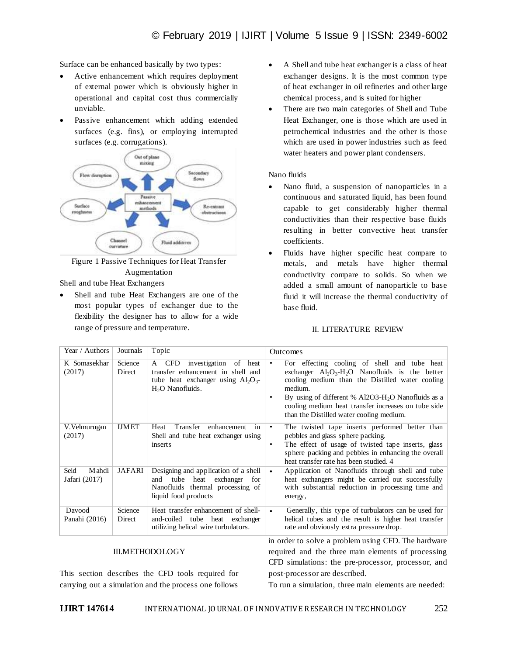Surface can be enhanced basically by two types:

- Active enhancement which requires deployment of external power which is obviously higher in operational and capital cost thus commercially unviable.
- Passive enhancement which adding extended surfaces (e.g. fins), or employing interrupted surfaces (e.g. corrugations).



Figure 1 Passive Techniques for Heat Transfer Augmentation

Shell and tube Heat Exchangers

 Shell and tube Heat Exchangers are one of the most popular types of exchanger due to the flexibility the designer has to allow for a wide range of pressure and temperature.

- A Shell and tube heat exchanger is a class of heat exchanger designs. It is the most common type of heat exchanger in oil refineries and other large chemical process, and is suited for higher
- There are two main categories of Shell and Tube Heat Exchanger, one is those which are used in petrochemical industries and the other is those which are used in power industries such as feed water heaters and power plant condensers.

## Nano fluids

- Nano fluid, a suspension of nanoparticles in a continuous and saturated liquid, has been found capable to get considerably higher thermal conductivities than their respective base fluids resulting in better convective heat transfer coefficients.
- Fluids have higher specific heat compare to metals, and metals have higher thermal conductivity compare to solids. So when we added a small amount of nanoparticle to base fluid it will increase the thermal conductivity of base fluid.

## II. LITERATURE REVIEW

| Year / Authors                 | Journals          | Topic                                                                                                                                          | <b>Outcomes</b>                                                                                                                                                                                                                                                                                                           |
|--------------------------------|-------------------|------------------------------------------------------------------------------------------------------------------------------------------------|---------------------------------------------------------------------------------------------------------------------------------------------------------------------------------------------------------------------------------------------------------------------------------------------------------------------------|
| K Somasekhar<br>(2017)         | Science<br>Direct | <b>CFD</b><br>investigation of<br>heat<br>A<br>transfer enhancement in shell and<br>tube heat exchanger using $Al_2O_3$ -<br>$H2O$ Nanofluids. | For effecting cooling of shell and tube heat<br>exchanger $Al_2O_3-H_2O$ Nanofluids is the better<br>cooling medium than the Distilled water cooling<br>medium.<br>By using of different % $A12O3-H2O$ Nanofluids as a<br>cooling medium heat transfer increases on tube side<br>than the Distilled water cooling medium. |
| V. Velmurugan<br>(2017)        | <b>IJMET</b>      | Transfer<br>enhancement<br>Heat<br>in<br>Shell and tube heat exchanger using<br>inserts                                                        | The twisted tape inserts performed better than<br>pebbles and glass sphere packing.<br>The effect of usage of twisted tape inserts, glass<br>$\bullet$<br>sphere packing and pebbles in enhancing the overall<br>heat transfer rate has been studied. 4                                                                   |
| Seid<br>Mahdi<br>Jafari (2017) | JAFARI            | Designing and application of a shell<br>tube heat<br>exchanger<br>and<br>for<br>Nanofluids thermal processing of<br>liquid food products       | Application of Nanofluids through shell and tube<br>heat exchangers might be carried out successfully<br>with substantial reduction in processing time and<br>energy,                                                                                                                                                     |
| Davood<br>Panahi (2016)        | Science<br>Direct | Heat transfer enhancement of shell-<br>and-coiled tube heat exchanger<br>utilizing helical wire turbulators.                                   | Generally, this type of turbulators can be used for<br>helical tubes and the result is higher heat transfer<br>rate and obviously extra pressure drop.                                                                                                                                                                    |
| <b>III.METHODOLOGY</b>         |                   |                                                                                                                                                | in order to solve a problem using CFD. The hardware<br>required and the three main elements of processing                                                                                                                                                                                                                 |

This section describes the CFD tools required for carrying out a simulation and the process one follows

To run a simulation, three main elements are needed:

post‐processor are described.

CFD simulations: the pre‐processor, processor, and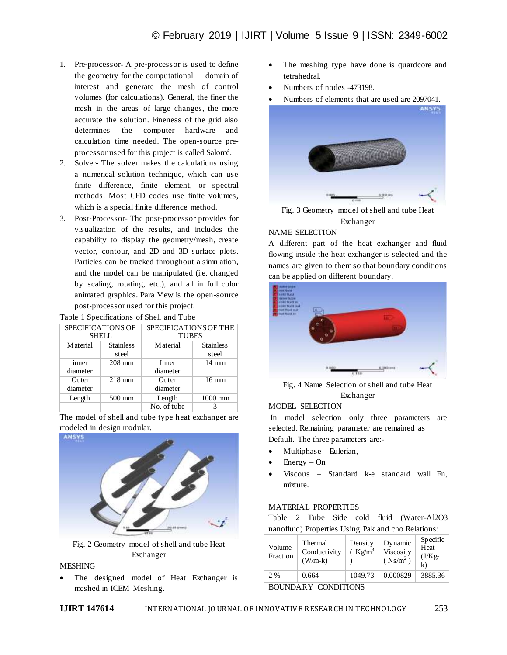- 1. Pre‐processor- A pre‐processor is used to define the geometry for the computational domain of interest and generate the mesh of control volumes (for calculations). General, the finer the mesh in the areas of large changes, the more accurate the solution. Fineness of the grid also determines the computer hardware and calculation time needed. The open‐source pre‐ processor used for this project is called Salomé.
- 2. Solver- The solver makes the calculations using a numerical solution technique, which can use finite difference, finite element, or spectral methods. Most CFD codes use finite volumes, which is a special finite difference method.
- 3. Post‐Processor- The post‐processor provides for visualization of the results, and includes the capability to display the geometry/mesh, create vector, contour, and 2D and 3D surface plots. Particles can be tracked throughout a simulation, and the model can be manipulated (i.e. changed by scaling, rotating, etc.), and all in full color animated graphics. Para View is the open‐source post‐processor used for this project.

Table 1 Specifications of Shell and Tube

| SPECIFICATIONS OF |                  | SPECIFICATIONS OF THE |                  |  |
|-------------------|------------------|-----------------------|------------------|--|
| <b>SHELL</b>      |                  | <b>TUBES</b>          |                  |  |
| M aterial         | <b>Stainless</b> | M aterial             | <b>Stainless</b> |  |
|                   | steel            |                       | steel            |  |
| inner             | $208$ mm         | Inner                 | $14 \text{ mm}$  |  |
| diameter          |                  | diameter              |                  |  |
| Outer             | $218$ mm         | Outer                 | $16 \text{ mm}$  |  |
| diameter          |                  | diameter              |                  |  |
| Length            | 500 mm           | Length                | $1000$ mm        |  |
|                   |                  | No. of tube           |                  |  |

The model of shell and tube type heat exchanger are modeled in design modular.



Fig. 2 Geometry model of shell and tube Heat Exchanger

## **MESHING**

 The designed model of Heat Exchanger is meshed in ICEM Meshing.

- The meshing type have done is quardcore and tetrahedral.
- Numbers of nodes -473198.
- Numbers of elements that are used are 2097041.



Fig. 3 Geometry model of shell and tube Heat Exchanger

## NAME SELECTION

A different part of the heat exchanger and fluid flowing inside the heat exchanger is selected and the names are given to them so that boundary conditions can be applied on different boundary.



Fig. 4 Name Selection of shell and tube Heat Exchanger

## MODEL SELECTION

In model selection only three parameters are selected. Remaining parameter are remained as Default. The three parameters are:-

- Multiphase Eulerian,
- Energy On
- Viscous Standard k-e standard wall Fn, mixture.

## MATERIAL PROPERTIES

Table 2 Tube Side cold fluid (Water-Al2O3 nanofluid) Properties Using Pak and cho Relations:

| Volume<br>Fraction            | Thermal<br>Conductivity<br>$(W/m-k)$ | Density<br>$(Kg/m^3)$ | Dynamic<br>Viscosity<br>$(Ns/m^2)$ | Specific<br>Heat<br>$(J/Kg-$<br>$\bf k$ |  |  |  |
|-------------------------------|--------------------------------------|-----------------------|------------------------------------|-----------------------------------------|--|--|--|
| 2 %                           | 0.664                                | 1049.73               | 0.000829                           | 3885.36                                 |  |  |  |
| <b>CONDITIONS</b><br>BOUNDARY |                                      |                       |                                    |                                         |  |  |  |

**IJIRT 147614** INTERNATIONAL JOURNAL OF INNOVATIVE RESEARCH IN TECHNOLOGY 253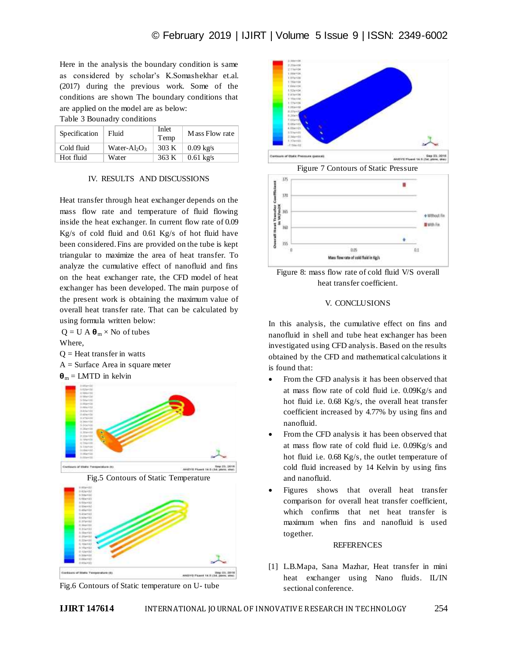Here in the analysis the boundary condition is same as considered by scholar's K.Somashekhar et.al. (2017) during the previous work. Some of the conditions are shown The boundary conditions that are applied on the model are as below:

Table 3 Bounadry conditions

| Specification | Fluid                                | Inlet<br>Temp | Mass Flow rate      |
|---------------|--------------------------------------|---------------|---------------------|
| Cold fluid    | Water-Al <sub>2</sub> O <sub>3</sub> | 303 K         | $0.09 \text{ kg/s}$ |
| Hot fluid     | Water                                | 363 K         | $0.61 \text{ kg/s}$ |

## IV. RESULTS AND DISCUSSIONS

Heat transfer through heat exchanger depends on the mass flow rate and temperature of fluid flowing inside the heat exchanger. In current flow rate of 0.09 Kg/s of cold fluid and 0.61 Kg/s of hot fluid have been considered. Fins are provided on the tube is kept triangular to maximize the area of heat transfer. To analyze the cumulative effect of nanofluid and fins on the heat exchanger rate, the CFD model of heat exchanger has been developed. The main purpose of the present work is obtaining the maximum value of overall heat transfer rate. That can be calculated by using formula written below:

 $Q = U A \theta_m \times No$  of tubes Where,

 $Q =$  Heat transfer in watts

 $A =$  Surface Area in square meter

 $\mathbf{\Theta}_{\rm m} = \text{LMTD}$  in kelvin











Figure 7 Contours of Static Pressure



Figure 8: mass flow rate of cold fluid V/S overall heat transfer coefficient.

## V. CONCLUSIONS

In this analysis, the cumulative effect on fins and nanofluid in shell and tube heat exchanger has been investigated using CFD analysis. Based on the results obtained by the CFD and mathematical calculations it is found that:

- From the CFD analysis it has been observed that at mass flow rate of cold fluid i.e. 0.09Kg/s and hot fluid i.e. 0.68 Kg/s, the overall heat transfer coefficient increased by 4.77% by using fins and nanofluid.
- From the CFD analysis it has been observed that at mass flow rate of cold fluid i.e. 0.09Kg/s and hot fluid i.e. 0.68 Kg/s, the outlet temperature of cold fluid increased by 14 Kelvin by using fins and nanofluid.
- Figures shows that overall heat transfer comparison for overall heat transfer coefficient, which confirms that net heat transfer is maximum when fins and nanofluid is used together.

#### REFERENCES

[1] L.B.Mapa, Sana Mazhar, Heat transfer in mini heat exchanger using Nano fluids. IL/IN sectional conference.